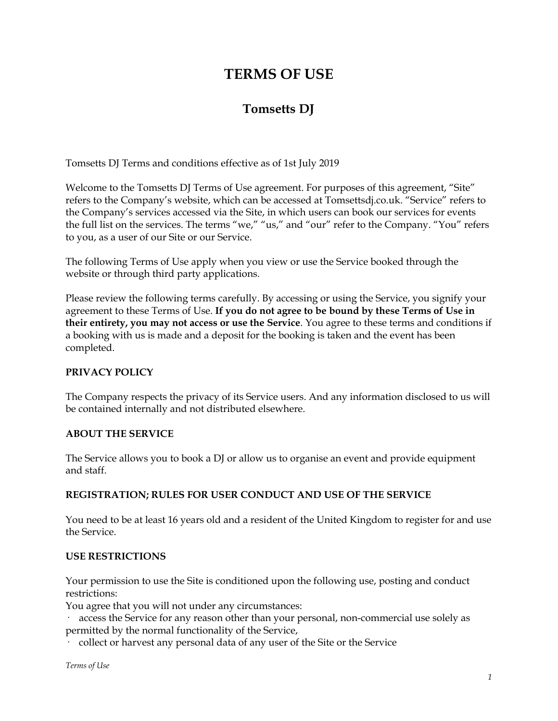# **TERMS OF USE**

# **Tomsetts DJ**

Tomsetts DJ Terms and conditions effective as of 1st July 2019

Welcome to the Tomsetts DJ Terms of Use agreement. For purposes of this agreement, "Site" refers to the Company's website, which can be accessed at Tomsettsdj.co.uk. "Service" refers to the Company's services accessed via the Site, in which users can book our services for events the full list on the services. The terms "we," "us," and "our" refer to the Company. "You" refers to you, as a user of our Site or our Service.

The following Terms of Use apply when you view or use the Service booked through the website or through third party applications.

Please review the following terms carefully. By accessing or using the Service, you signify your agreement to these Terms of Use. **If you do not agree to be bound by these Terms of Use in their entirety, you may not access or use the Service**. You agree to these terms and conditions if a booking with us is made and a deposit for the booking is taken and the event has been completed.

# **PRIVACY POLICY**

The Company respects the privacy of its Service users. And any information disclosed to us will be contained internally and not distributed elsewhere.

## **ABOUT THE SERVICE**

The Service allows you to book a DJ or allow us to organise an event and provide equipment and staff.

# **REGISTRATION; RULES FOR USER CONDUCT AND USE OF THE SERVICE**

You need to be at least 16 years old and a resident of the United Kingdom to register for and use the Service.

## **USE RESTRICTIONS**

Your permission to use the Site is conditioned upon the following use, posting and conduct restrictions:

You agree that you will not under any circumstances:

· access the Service for any reason other than your personal, non-commercial use solely as permitted by the normal functionality of the Service,

· collect or harvest any personal data of any user of the Site or the Service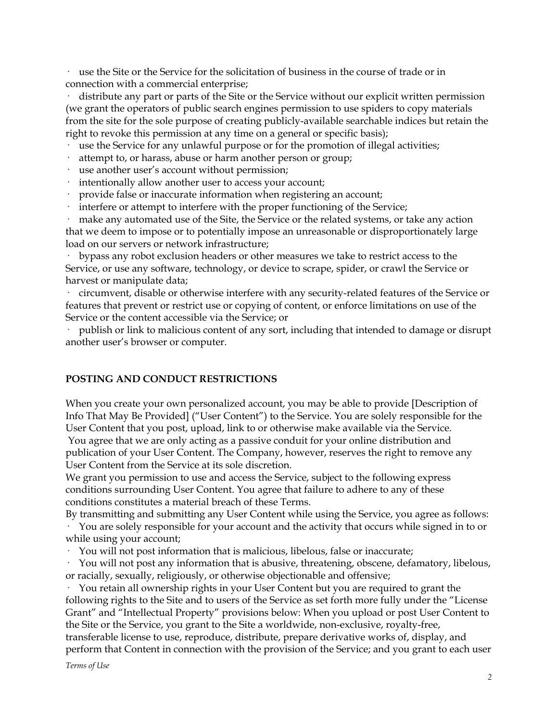use the Site or the Service for the solicitation of business in the course of trade or in connection with a commercial enterprise;

distribute any part or parts of the Site or the Service without our explicit written permission (we grant the operators of public search engines permission to use spiders to copy materials from the site for the sole purpose of creating publicly-available searchable indices but retain the right to revoke this permission at any time on a general or specific basis);

· use the Service for any unlawful purpose or for the promotion of illegal activities;

- attempt to, or harass, abuse or harm another person or group;
- use another user's account without permission;
- intentionally allow another user to access your account;
- provide false or inaccurate information when registering an account;
- interfere or attempt to interfere with the proper functioning of the Service;

make any automated use of the Site, the Service or the related systems, or take any action that we deem to impose or to potentially impose an unreasonable or disproportionately large load on our servers or network infrastructure;

· bypass any robot exclusion headers or other measures we take to restrict access to the Service, or use any software, technology, or device to scrape, spider, or crawl the Service or harvest or manipulate data;

· circumvent, disable or otherwise interfere with any security-related features of the Service or features that prevent or restrict use or copying of content, or enforce limitations on use of the Service or the content accessible via the Service; or

publish or link to malicious content of any sort, including that intended to damage or disrupt another user's browser or computer.

## **POSTING AND CONDUCT RESTRICTIONS**

When you create your own personalized account, you may be able to provide [Description of Info That May Be Provided] ("User Content") to the Service. You are solely responsible for the User Content that you post, upload, link to or otherwise make available via the Service. You agree that we are only acting as a passive conduit for your online distribution and publication of your User Content. The Company, however, reserves the right to remove any

User Content from the Service at its sole discretion. We grant you permission to use and access the Service, subject to the following express conditions surrounding User Content. You agree that failure to adhere to any of these

conditions constitutes a material breach of these Terms.

By transmitting and submitting any User Content while using the Service, you agree as follows: · You are solely responsible for your account and the activity that occurs while signed in to or while using your account;

· You will not post information that is malicious, libelous, false or inaccurate;

· You will not post any information that is abusive, threatening, obscene, defamatory, libelous, or racially, sexually, religiously, or otherwise objectionable and offensive;

· You retain all ownership rights in your User Content but you are required to grant the following rights to the Site and to users of the Service as set forth more fully under the "License Grant" and "Intellectual Property" provisions below: When you upload or post User Content to the Site or the Service, you grant to the Site a worldwide, non-exclusive, royalty-free,

transferable license to use, reproduce, distribute, prepare derivative works of, display, and perform that Content in connection with the provision of the Service; and you grant to each user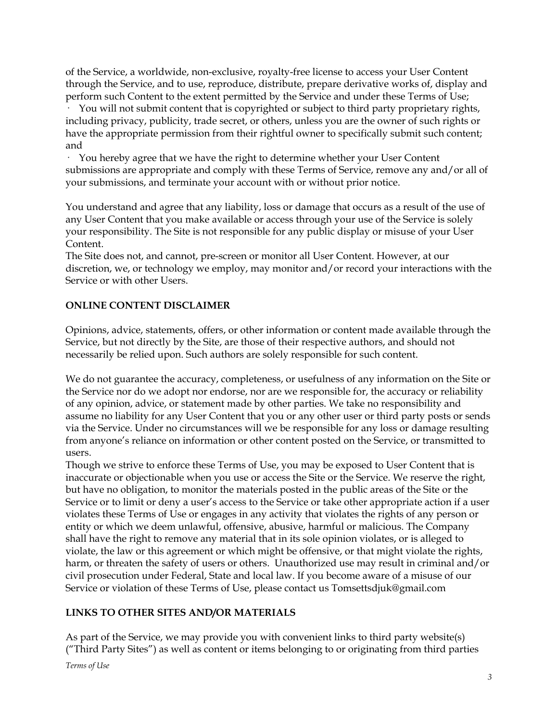of the Service, a worldwide, non-exclusive, royalty-free license to access your User Content through the Service, and to use, reproduce, distribute, prepare derivative works of, display and perform such Content to the extent permitted by the Service and under these Terms of Use;

· You will not submit content that is copyrighted or subject to third party proprietary rights, including privacy, publicity, trade secret, or others, unless you are the owner of such rights or have the appropriate permission from their rightful owner to specifically submit such content; and

· You hereby agree that we have the right to determine whether your User Content submissions are appropriate and comply with these Terms of Service, remove any and/or all of your submissions, and terminate your account with or without prior notice.

You understand and agree that any liability, loss or damage that occurs as a result of the use of any User Content that you make available or access through your use of the Service is solely your responsibility. The Site is not responsible for any public display or misuse of your User Content.

The Site does not, and cannot, pre-screen or monitor all User Content. However, at our discretion, we, or technology we employ, may monitor and/or record your interactions with the Service or with other Users.

# **ONLINE CONTENT DISCLAIMER**

Opinions, advice, statements, offers, or other information or content made available through the Service, but not directly by the Site, are those of their respective authors, and should not necessarily be relied upon. Such authors are solely responsible for such content.

We do not guarantee the accuracy, completeness, or usefulness of any information on the Site or the Service nor do we adopt nor endorse, nor are we responsible for, the accuracy or reliability of any opinion, advice, or statement made by other parties. We take no responsibility and assume no liability for any User Content that you or any other user or third party posts or sends via the Service. Under no circumstances will we be responsible for any loss or damage resulting from anyone's reliance on information or other content posted on the Service, or transmitted to users.

Though we strive to enforce these Terms of Use, you may be exposed to User Content that is inaccurate or objectionable when you use or access the Site or the Service. We reserve the right, but have no obligation, to monitor the materials posted in the public areas of the Site or the Service or to limit or deny a user's access to the Service or take other appropriate action if a user violates these Terms of Use or engages in any activity that violates the rights of any person or entity or which we deem unlawful, offensive, abusive, harmful or malicious. The Company shall have the right to remove any material that in its sole opinion violates, or is alleged to violate, the law or this agreement or which might be offensive, or that might violate the rights, harm, or threaten the safety of users or others. Unauthorized use may result in criminal and/or civil prosecution under Federal, State and local law. If you become aware of a misuse of our Service or violation of these Terms of Use, please contact us Tomsettsdjuk@gmail.com

# **LINKS TO OTHER SITES AND/OR MATERIALS**

As part of the Service, we may provide you with convenient links to third party website(s) ("Third Party Sites") as well as content or items belonging to or originating from third parties *Terms of Use*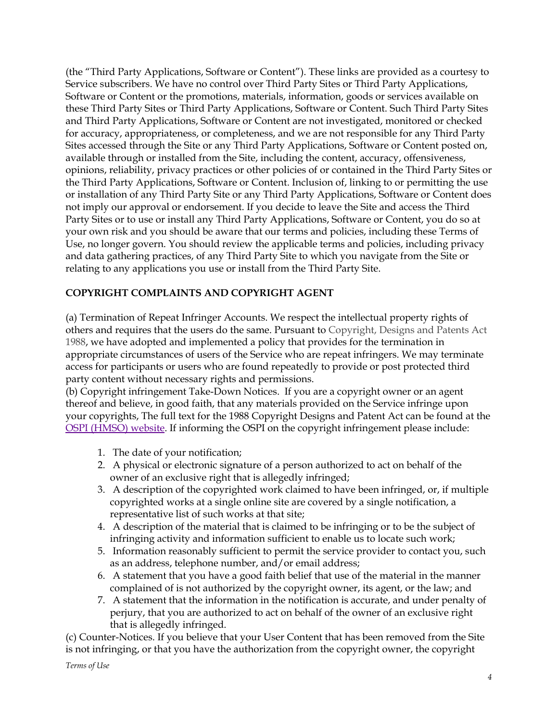(the "Third Party Applications, Software or Content"). These links are provided as a courtesy to Service subscribers. We have no control over Third Party Sites or Third Party Applications, Software or Content or the promotions, materials, information, goods or services available on these Third Party Sites or Third Party Applications, Software or Content. Such Third Party Sites and Third Party Applications, Software or Content are not investigated, monitored or checked for accuracy, appropriateness, or completeness, and we are not responsible for any Third Party Sites accessed through the Site or any Third Party Applications, Software or Content posted on, available through or installed from the Site, including the content, accuracy, offensiveness, opinions, reliability, privacy practices or other policies of or contained in the Third Party Sites or the Third Party Applications, Software or Content. Inclusion of, linking to or permitting the use or installation of any Third Party Site or any Third Party Applications, Software or Content does not imply our approval or endorsement. If you decide to leave the Site and access the Third Party Sites or to use or install any Third Party Applications, Software or Content, you do so at your own risk and you should be aware that our terms and policies, including these Terms of Use, no longer govern. You should review the applicable terms and policies, including privacy and data gathering practices, of any Third Party Site to which you navigate from the Site or relating to any applications you use or install from the Third Party Site.

# **COPYRIGHT COMPLAINTS AND COPYRIGHT AGENT**

(a) Termination of Repeat Infringer Accounts. We respect the intellectual property rights of others and requires that the users do the same. Pursuant to Copyright, Designs and Patents Act 1988, we have adopted and implemented a policy that provides for the termination in appropriate circumstances of users of the Service who are repeat infringers. We may terminate access for participants or users who are found repeatedly to provide or post protected third party content without necessary rights and permissions.

(b) Copyright infringement Take-Down Notices. If you are a copyright owner or an agent thereof and believe, in good faith, that any materials provided on the Service infringe upon your copyrights, The full text for the 1988 Copyright Designs and Patent Act can be found at the OSPI [\(HMSO\)](http://www.opsi.gov.uk/acts/acts1988/Ukpga_19880048_en_1.htm) website. If informing the OSPI on the copyright infringement please include:

- 1. The date of your notification;
- 2. A physical or electronic signature of a person authorized to act on behalf of the owner of an exclusive right that is allegedly infringed;
- 3. A description of the copyrighted work claimed to have been infringed, or, if multiple copyrighted works at a single online site are covered by a single notification, a representative list of such works at that site;
- 4. A description of the material that is claimed to be infringing or to be the subject of infringing activity and information sufficient to enable us to locate such work;
- 5. Information reasonably sufficient to permit the service provider to contact you, such as an address, telephone number, and/or email address;
- 6. A statement that you have a good faith belief that use of the material in the manner complained of is not authorized by the copyright owner, its agent, or the law; and
- 7. A statement that the information in the notification is accurate, and under penalty of perjury, that you are authorized to act on behalf of the owner of an exclusive right that is allegedly infringed.

(c) Counter-Notices. If you believe that your User Content that has been removed from the Site is not infringing, or that you have the authorization from the copyright owner, the copyright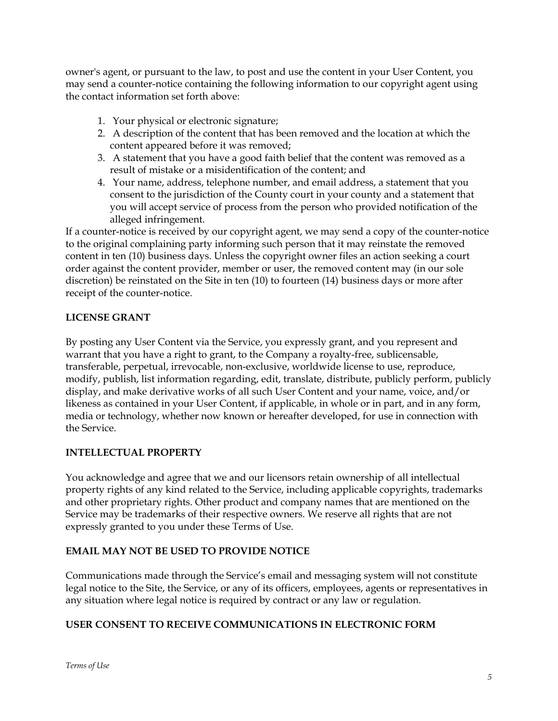owner's agent, or pursuant to the law, to post and use the content in your User Content, you may send a counter-notice containing the following information to our copyright agent using the contact information set forth above:

- 1. Your physical or electronic signature;
- 2. A description of the content that has been removed and the location at which the content appeared before it was removed;
- 3. A statement that you have a good faith belief that the content was removed as a result of mistake or a misidentification of the content; and
- 4. Your name, address, telephone number, and email address, a statement that you consent to the jurisdiction of the County court in your county and a statement that you will accept service of process from the person who provided notification of the alleged infringement.

If a counter-notice is received by our copyright agent, we may send a copy of the counter-notice to the original complaining party informing such person that it may reinstate the removed content in ten (10) business days. Unless the copyright owner files an action seeking a court order against the content provider, member or user, the removed content may (in our sole discretion) be reinstated on the Site in ten (10) to fourteen (14) business days or more after receipt of the counter-notice.

# **LICENSE GRANT**

By posting any User Content via the Service, you expressly grant, and you represent and warrant that you have a right to grant, to the Company a royalty-free, sublicensable, transferable, perpetual, irrevocable, non-exclusive, worldwide license to use, reproduce, modify, publish, list information regarding, edit, translate, distribute, publicly perform, publicly display, and make derivative works of all such User Content and your name, voice, and/or likeness as contained in your User Content, if applicable, in whole or in part, and in any form, media or technology, whether now known or hereafter developed, for use in connection with the Service.

# **INTELLECTUAL PROPERTY**

You acknowledge and agree that we and our licensors retain ownership of all intellectual property rights of any kind related to the Service, including applicable copyrights, trademarks and other proprietary rights. Other product and company names that are mentioned on the Service may be trademarks of their respective owners. We reserve all rights that are not expressly granted to you under these Terms of Use.

# **EMAIL MAY NOT BE USED TO PROVIDE NOTICE**

Communications made through the Service's email and messaging system will not constitute legal notice to the Site, the Service, or any of its officers, employees, agents or representatives in any situation where legal notice is required by contract or any law or regulation.

# **USER CONSENT TO RECEIVE COMMUNICATIONS IN ELECTRONIC FORM**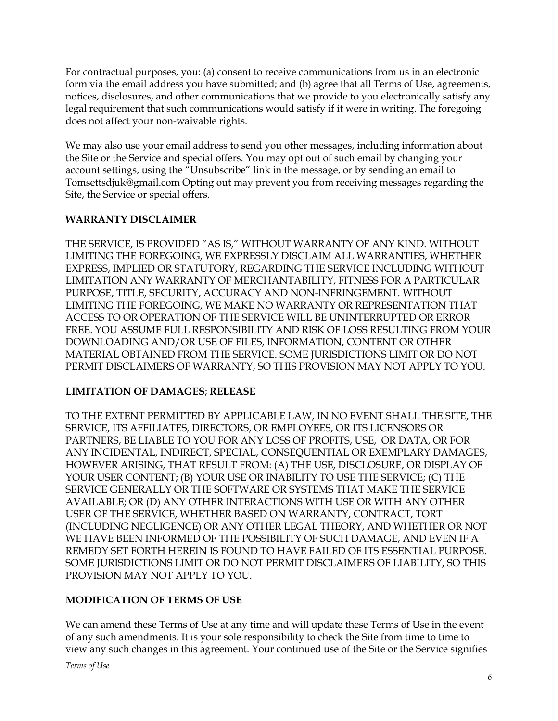For contractual purposes, you: (a) consent to receive communications from us in an electronic form via the email address you have submitted; and (b) agree that all Terms of Use, agreements, notices, disclosures, and other communications that we provide to you electronically satisfy any legal requirement that such communications would satisfy if it were in writing. The foregoing does not affect your non-waivable rights.

We may also use your email address to send you other messages, including information about the Site or the Service and special offers. You may opt out of such email by changing your account settings, using the "Unsubscribe" link in the message, or by sending an email to Tomsettsdjuk@gmail.com Opting out may prevent you from receiving messages regarding the Site, the Service or special offers.

# **WARRANTY DISCLAIMER**

THE SERVICE, IS PROVIDED "AS IS," WITHOUT WARRANTY OF ANY KIND. WITHOUT LIMITING THE FOREGOING, WE EXPRESSLY DISCLAIM ALL WARRANTIES, WHETHER EXPRESS, IMPLIED OR STATUTORY, REGARDING THE SERVICE INCLUDING WITHOUT LIMITATION ANY WARRANTY OF MERCHANTABILITY, FITNESS FOR A PARTICULAR PURPOSE, TITLE, SECURITY, ACCURACY AND NON-INFRINGEMENT. WITHOUT LIMITING THE FOREGOING, WE MAKE NO WARRANTY OR REPRESENTATION THAT ACCESS TO OR OPERATION OF THE SERVICE WILL BE UNINTERRUPTED OR ERROR FREE. YOU ASSUME FULL RESPONSIBILITY AND RISK OF LOSS RESULTING FROM YOUR DOWNLOADING AND/OR USE OF FILES, INFORMATION, CONTENT OR OTHER MATERIAL OBTAINED FROM THE SERVICE. SOME JURISDICTIONS LIMIT OR DO NOT PERMIT DISCLAIMERS OF WARRANTY, SO THIS PROVISION MAY NOT APPLY TO YOU.

# **LIMITATION OF DAMAGES**; **RELEASE**

TO THE EXTENT PERMITTED BY APPLICABLE LAW, IN NO EVENT SHALL THE SITE, THE SERVICE, ITS AFFILIATES, DIRECTORS, OR EMPLOYEES, OR ITS LICENSORS OR PARTNERS, BE LIABLE TO YOU FOR ANY LOSS OF PROFITS, USE, OR DATA, OR FOR ANY INCIDENTAL, INDIRECT, SPECIAL, CONSEQUENTIAL OR EXEMPLARY DAMAGES, HOWEVER ARISING, THAT RESULT FROM: (A) THE USE, DISCLOSURE, OR DISPLAY OF YOUR USER CONTENT; (B) YOUR USE OR INABILITY TO USE THE SERVICE; (C) THE SERVICE GENERALLY OR THE SOFTWARE OR SYSTEMS THAT MAKE THE SERVICE AVAILABLE; OR (D) ANY OTHER INTERACTIONS WITH USE OR WITH ANY OTHER USER OF THE SERVICE, WHETHER BASED ON WARRANTY, CONTRACT, TORT (INCLUDING NEGLIGENCE) OR ANY OTHER LEGAL THEORY, AND WHETHER OR NOT WE HAVE BEEN INFORMED OF THE POSSIBILITY OF SUCH DAMAGE, AND EVEN IF A REMEDY SET FORTH HEREIN IS FOUND TO HAVE FAILED OF ITS ESSENTIAL PURPOSE. SOME JURISDICTIONS LIMIT OR DO NOT PERMIT DISCLAIMERS OF LIABILITY, SO THIS PROVISION MAY NOT APPLY TO YOU.

# **MODIFICATION OF TERMS OF USE**

We can amend these Terms of Use at any time and will update these Terms of Use in the event of any such amendments. It is your sole responsibility to check the Site from time to time to view any such changes in this agreement. Your continued use of the Site or the Service signifies